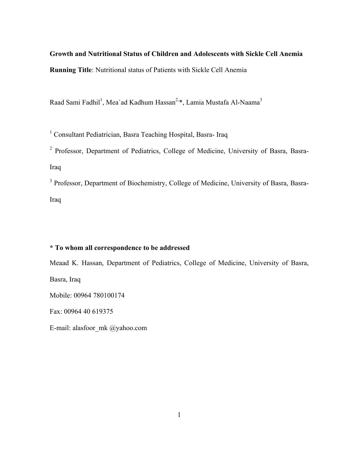**Growth and Nutritional Status of Children and Adolescents with Sickle Cell Anemia Running Title**: Nutritional status of Patients with Sickle Cell Anemia

Raad Sami Fadhil<sup>1</sup>, Mea`ad Kadhum Hassan<sup>2,\*</sup>, Lamia Mustafa Al-Naama<sup>3</sup>

<sup>1</sup> Consultant Pediatrician, Basra Teaching Hospital, Basra- Iraq

<sup>2</sup> Professor, Department of Pediatrics, College of Medicine, University of Basra, Basra-Iraq

<sup>3</sup> Professor, Department of Biochemistry, College of Medicine, University of Basra, Basra-Iraq

# **\* To whom all correspondence to be addressed**

Meaad K. Hassan, Department of Pediatrics, College of Medicine, University of Basra, Basra, Iraq

Mobile: 00964 780100174

Fax: 00964 40 619375

E-mail: alasfoor\_mk @yahoo.com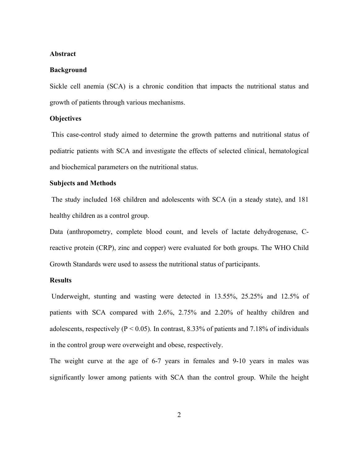#### **Abstract**

#### **Background**

Sickle cell anemia (SCA) is a chronic condition that impacts the nutritional status and growth of patients through various mechanisms.

## **Objectives**

This case-control study aimed to determine the growth patterns and nutritional status of pediatric patients with SCA and investigate the effects of selected clinical, hematological and biochemical parameters on the nutritional status.

### **Subjects and Methods**

The study included 168 children and adolescents with SCA (in a steady state), and 181 healthy children as a control group.

Data (anthropometry, complete blood count, and levels of lactate dehydrogenase, Creactive protein (CRP), zinc and copper) were evaluated for both groups. The WHO Child Growth Standards were used to assess the nutritional status of participants.

# **Results**

Underweight, stunting and wasting were detected in 13.55%, 25.25% and 12.5% of patients with SCA compared with 2.6%, 2.75% and 2.20% of healthy children and adolescents, respectively ( $P < 0.05$ ). In contrast, 8.33% of patients and 7.18% of individuals in the control group were overweight and obese, respectively.

The weight curve at the age of 6-7 years in females and 9-10 years in males was significantly lower among patients with SCA than the control group. While the height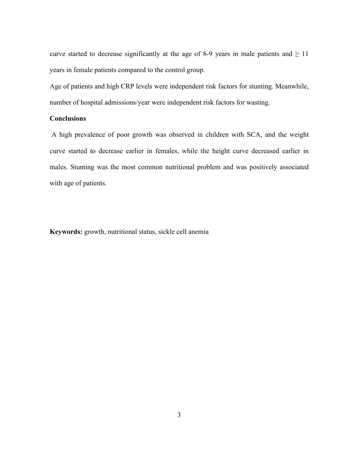curve started to decrease significantly at the age of 8-9 years in male patients and  $\geq 11$ years in female patients compared to the control group.

Age of patients and high CRP levels were independent risk factors for stunting. Meanwhile, number of hospital admissions/year were independent risk factors for wasting.

# **Conclusions**

A high prevalence of poor growth was observed in children with SCA, and the weight curve started to decrease earlier in females, while the height curve decreased earlier in males. Stunting was the most common nutritional problem and was positively associated with age of patients.

**Keywords:** growth, nutritional status, sickle cell anemia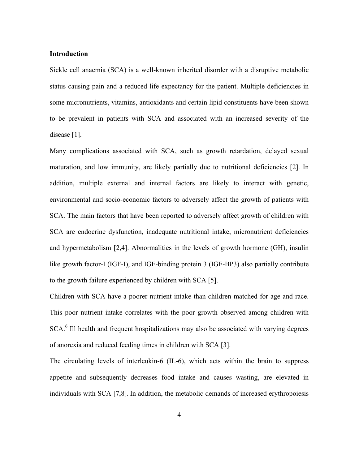#### **Introduction**

Sickle cell anaemia (SCA) is a well-known inherited disorder with a disruptive metabolic status causing pain and a reduced life expectancy for the patient. Multiple deficiencies in some micronutrients, vitamins, antioxidants and certain lipid constituents have been shown to be prevalent in patients with SCA and associated with an increased severity of the disease [1].

Many complications associated with SCA, such as growth retardation, delayed sexual maturation, and low immunity, are likely partially due to nutritional deficiencies [2]. In addition, multiple external and internal factors are likely to interact with genetic, environmental and socio-economic factors to adversely affect the growth of patients with SCA. The main factors that have been reported to adversely affect growth of children with SCA are endocrine dysfunction, inadequate nutritional intake, micronutrient deficiencies and hypermetabolism [2,4]. Abnormalities in the levels of growth hormone (GH), insulin like growth factor-I (IGF-I), and IGF-binding protein 3 (IGF-BP3) also partially contribute to the growth failure experienced by children with SCA [5].

Children with SCA have a poorer nutrient intake than children matched for age and race. This poor nutrient intake correlates with the poor growth observed among children with SCA.<sup>6</sup> Ill health and frequent hospitalizations may also be associated with varying degrees of anorexia and reduced feeding times in children with SCA [3].

The circulating levels of interleukin-6 (IL-6), which acts within the brain to suppress appetite and subsequently decreases food intake and causes wasting, are elevated in individuals with SCA [7,8]. In addition, the metabolic demands of increased erythropoiesis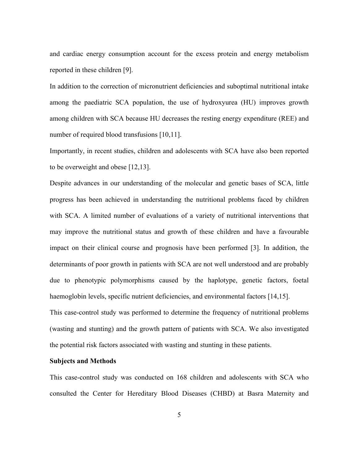and cardiac energy consumption account for the excess protein and energy metabolism reported in these children [9].

In addition to the correction of micronutrient deficiencies and suboptimal nutritional intake among the paediatric SCA population, the use of hydroxyurea (HU) improves growth among children with SCA because HU decreases the resting energy expenditure (REE) and number of required blood transfusions [10,11].

Importantly, in recent studies, children and adolescents with SCA have also been reported to be overweight and obese [12,13].

Despite advances in our understanding of the molecular and genetic bases of SCA, little progress has been achieved in understanding the nutritional problems faced by children with SCA. A limited number of evaluations of a variety of nutritional interventions that may improve the nutritional status and growth of these children and have a favourable impact on their clinical course and prognosis have been performed [3]. In addition, the determinants of poor growth in patients with SCA are not well understood and are probably due to phenotypic polymorphisms caused by the haplotype, genetic factors, foetal haemoglobin levels, specific nutrient deficiencies, and environmental factors [14,15].

This case-control study was performed to determine the frequency of nutritional problems (wasting and stunting) and the growth pattern of patients with SCA. We also investigated the potential risk factors associated with wasting and stunting in these patients.

### **Subjects and Methods**

This case-control study was conducted on 168 children and adolescents with SCA who consulted the Center for Hereditary Blood Diseases (CHBD) at Basra Maternity and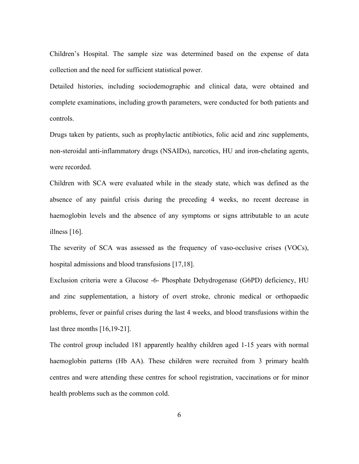Children's Hospital. The sample size was determined based on the expense of data collection and the need for sufficient statistical power.

Detailed histories, including sociodemographic and clinical data, were obtained and complete examinations, including growth parameters, were conducted for both patients and controls.

Drugs taken by patients, such as prophylactic antibiotics, folic acid and zinc supplements, non-steroidal anti-inflammatory drugs (NSAIDs), narcotics, HU and iron-chelating agents, were recorded.

Children with SCA were evaluated while in the steady state, which was defined as the absence of any painful crisis during the preceding 4 weeks, no recent decrease in haemoglobin levels and the absence of any symptoms or signs attributable to an acute illness [16].

The severity of SCA was assessed as the frequency of vaso-occlusive crises (VOCs), hospital admissions and blood transfusions [17,18].

Exclusion criteria were a Glucose -6- Phosphate Dehydrogenase (G6PD) deficiency, HU and zinc supplementation, a history of overt stroke, chronic medical or orthopaedic problems, fever or painful crises during the last 4 weeks, and blood transfusions within the last three months [16,19-21].

The control group included 181 apparently healthy children aged 1-15 years with normal haemoglobin patterns (Hb AA). These children were recruited from 3 primary health centres and were attending these centres for school registration, vaccinations or for minor health problems such as the common cold.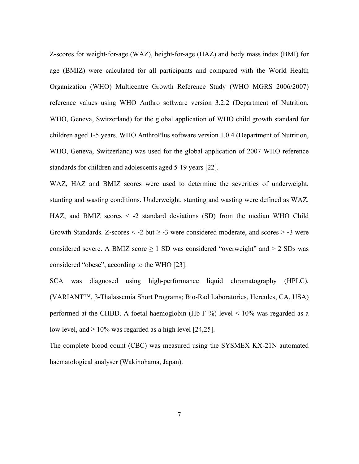Z-scores for weight-for-age (WAZ), height-for-age (HAZ) and body mass index (BMI) for age (BMIZ) were calculated for all participants and compared with the World Health Organization (WHO) Multicentre Growth Reference Study (WHO MGRS 2006/2007) reference values using WHO Anthro software version 3.2.2 (Department of Nutrition, WHO, Geneva, Switzerland) for the global application of WHO child growth standard for children aged 1-5 years. WHO AnthroPlus software version 1.0.4 (Department of Nutrition, WHO, Geneva, Switzerland) was used for the global application of 2007 WHO reference standards for children and adolescents aged 5-19 years [22].

WAZ, HAZ and BMIZ scores were used to determine the severities of underweight, stunting and wasting conditions. Underweight, stunting and wasting were defined as WAZ, HAZ, and BMIZ scores < -2 standard deviations (SD) from the median WHO Child Growth Standards. Z-scores  $\leq$  -2 but  $\geq$  -3 were considered moderate, and scores  $>$  -3 were considered severe. A BMIZ score  $\geq 1$  SD was considered "overweight" and  $> 2$  SDs was considered "obese", according to the WHO [23].

SCA was diagnosed using high-performance liquid chromatography (HPLC), (VARIANT™, β-Thalassemia Short Programs; Bio-Rad Laboratories, Hercules, CA, USA) performed at the CHBD. A foetal haemoglobin (Hb F %) level  $\leq 10\%$  was regarded as a low level, and  $\geq 10\%$  was regarded as a high level [24,25].

The complete blood count (CBC) was measured using the SYSMEX KX-21N automated haematological analyser (Wakinohama, Japan).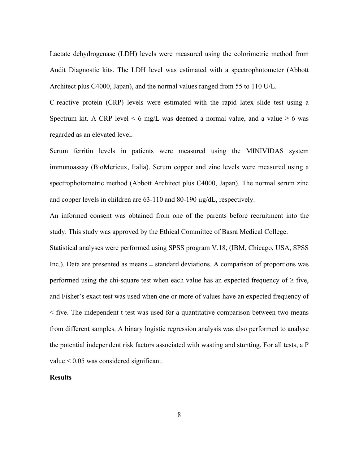Lactate dehydrogenase (LDH) levels were measured using the colorimetric method from Audit Diagnostic kits. The LDH level was estimated with a spectrophotometer (Abbott Architect plus C4000, Japan), and the normal values ranged from 55 to 110 U/L.

C-reactive protein (CRP) levels were estimated with the rapid latex slide test using a Spectrum kit. A CRP level  $\leq 6$  mg/L was deemed a normal value, and a value  $\geq 6$  was regarded as an elevated level.

Serum ferritin levels in patients were measured using the MINIVIDAS system immunoassay (BioMerieux, Italia). Serum copper and zinc levels were measured using a spectrophotometric method (Abbott Architect plus C4000, Japan). The normal serum zinc and copper levels in children are 63-110 and 80-190 µg/dL, respectively.

An informed consent was obtained from one of the parents before recruitment into the study. This study was approved by the Ethical Committee of Basra Medical College.

Statistical analyses were performed using SPSS program V.18, (IBM, Chicago, USA, SPSS Inc.). Data are presented as means  $\pm$  standard deviations. A comparison of proportions was performed using the chi-square test when each value has an expected frequency of  $\geq$  five, and Fisher's exact test was used when one or more of values have an expected frequency of < five. The independent t-test was used for a quantitative comparison between two means from different samples. A binary logistic regression analysis was also performed to analyse the potential independent risk factors associated with wasting and stunting. For all tests, a P value < 0.05 was considered significant.

# **Results**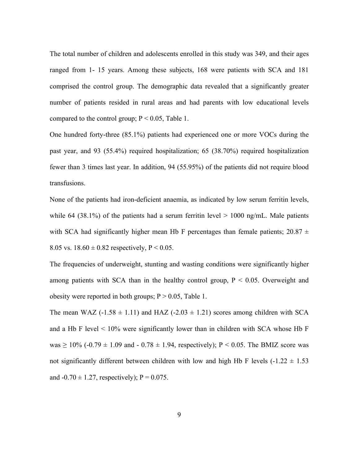The total number of children and adolescents enrolled in this study was 349, and their ages ranged from 1- 15 years. Among these subjects, 168 were patients with SCA and 181 comprised the control group. The demographic data revealed that a significantly greater number of patients resided in rural areas and had parents with low educational levels compared to the control group;  $P < 0.05$ , Table 1.

One hundred forty-three (85.1%) patients had experienced one or more VOCs during the past year, and 93 (55.4%) required hospitalization; 65 (38.70%) required hospitalization fewer than 3 times last year. In addition, 94 (55.95%) of the patients did not require blood transfusions.

None of the patients had iron-deficient anaemia, as indicated by low serum ferritin levels, while 64 (38.1%) of the patients had a serum ferritin level  $> 1000$  ng/mL. Male patients with SCA had significantly higher mean Hb F percentages than female patients;  $20.87 \pm 10^{-10}$ 8.05 vs.  $18.60 \pm 0.82$  respectively, P < 0.05.

The frequencies of underweight, stunting and wasting conditions were significantly higher among patients with SCA than in the healthy control group,  $P < 0.05$ . Overweight and obesity were reported in both groups;  $P > 0.05$ , Table 1.

The mean WAZ (-1.58  $\pm$  1.11) and HAZ (-2.03  $\pm$  1.21) scores among children with SCA and a Hb F level  $\leq 10\%$  were significantly lower than in children with SCA whose Hb F was  $\geq 10\%$  (-0.79  $\pm$  1.09 and - 0.78  $\pm$  1.94, respectively); P < 0.05. The BMIZ score was not significantly different between children with low and high Hb F levels  $(-1.22 \pm 1.53)$ and  $-0.70 \pm 1.27$ , respectively); P = 0.075.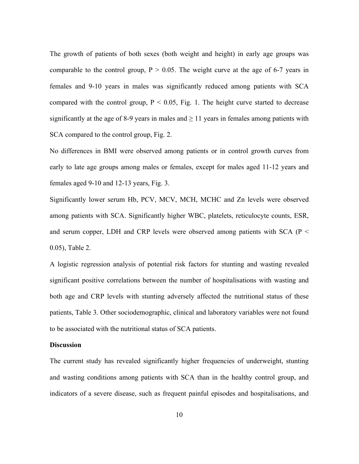The growth of patients of both sexes (both weight and height) in early age groups was comparable to the control group,  $P > 0.05$ . The weight curve at the age of 6-7 years in females and 9-10 years in males was significantly reduced among patients with SCA compared with the control group,  $P < 0.05$ , Fig. 1. The height curve started to decrease significantly at the age of 8-9 years in males and  $\geq$  11 years in females among patients with SCA compared to the control group, Fig. 2.

No differences in BMI were observed among patients or in control growth curves from early to late age groups among males or females, except for males aged 11-12 years and females aged 9-10 and 12-13 years, Fig. 3.

Significantly lower serum Hb, PCV, MCV, MCH, MCHC and Zn levels were observed among patients with SCA. Significantly higher WBC, platelets, reticulocyte counts, ESR, and serum copper, LDH and CRP levels were observed among patients with SCA ( $P <$ 0.05), Table 2.

A logistic regression analysis of potential risk factors for stunting and wasting revealed significant positive correlations between the number of hospitalisations with wasting and both age and CRP levels with stunting adversely affected the nutritional status of these patients, Table 3. Other sociodemographic, clinical and laboratory variables were not found to be associated with the nutritional status of SCA patients.

### **Discussion**

The current study has revealed significantly higher frequencies of underweight, stunting and wasting conditions among patients with SCA than in the healthy control group, and indicators of a severe disease, such as frequent painful episodes and hospitalisations, and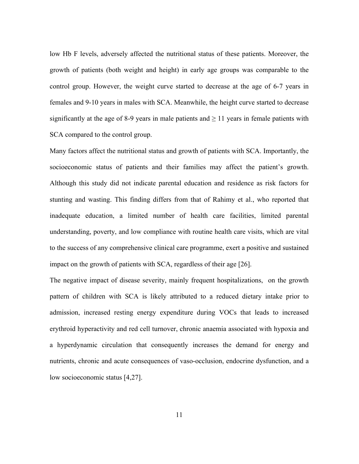low Hb F levels, adversely affected the nutritional status of these patients. Moreover, the growth of patients (both weight and height) in early age groups was comparable to the control group. However, the weight curve started to decrease at the age of 6-7 years in females and 9-10 years in males with SCA. Meanwhile, the height curve started to decrease significantly at the age of 8-9 years in male patients and  $\geq 11$  years in female patients with SCA compared to the control group.

Many factors affect the nutritional status and growth of patients with SCA. Importantly, the socioeconomic status of patients and their families may affect the patient's growth. Although this study did not indicate parental education and residence as risk factors for stunting and wasting. This finding differs from that of Rahimy et al., who reported that inadequate education, a limited number of health care facilities, limited parental understanding, poverty, and low compliance with routine health care visits, which are vital to the success of any comprehensive clinical care programme, exert a positive and sustained impact on the growth of patients with SCA, regardless of their age [26].

The negative impact of disease severity, mainly frequent hospitalizations, on the growth pattern of children with SCA is likely attributed to a reduced dietary intake prior to admission, increased resting energy expenditure during VOCs that leads to increased erythroid hyperactivity and red cell turnover, chronic anaemia associated with hypoxia and a hyperdynamic circulation that consequently increases the demand for energy and nutrients, chronic and acute consequences of vaso-occlusion, endocrine dysfunction, and a low socioeconomic status [4,27].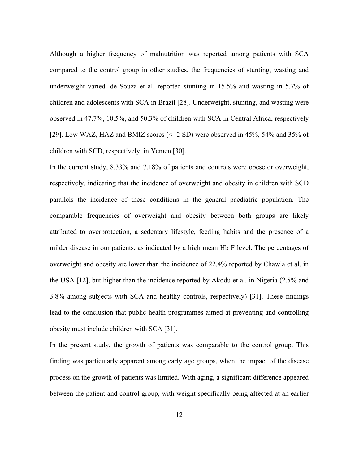Although a higher frequency of malnutrition was reported among patients with SCA compared to the control group in other studies, the frequencies of stunting, wasting and underweight varied. de Souza et al. reported stunting in 15.5% and wasting in 5.7% of children and adolescents with SCA in Brazil [28]. Underweight, stunting, and wasting were observed in 47.7%, 10.5%, and 50.3% of children with SCA in Central Africa, respectively [29]. Low WAZ, HAZ and BMIZ scores (< -2 SD) were observed in 45%, 54% and 35% of children with SCD, respectively, in Yemen [30].

In the current study, 8.33% and 7.18% of patients and controls were obese or overweight, respectively, indicating that the incidence of overweight and obesity in children with SCD parallels the incidence of these conditions in the general paediatric population. The comparable frequencies of overweight and obesity between both groups are likely attributed to overprotection, a sedentary lifestyle, feeding habits and the presence of a milder disease in our patients, as indicated by a high mean Hb F level. The percentages of overweight and obesity are lower than the incidence of 22.4% reported by Chawla et al. in the USA [12], but higher than the incidence reported by Akodu et al. in Nigeria (2.5% and 3.8% among subjects with SCA and healthy controls, respectively) [31]. These findings lead to the conclusion that public health programmes aimed at preventing and controlling obesity must include children with SCA [31].

In the present study, the growth of patients was comparable to the control group. This finding was particularly apparent among early age groups, when the impact of the disease process on the growth of patients was limited. With aging, a significant difference appeared between the patient and control group, with weight specifically being affected at an earlier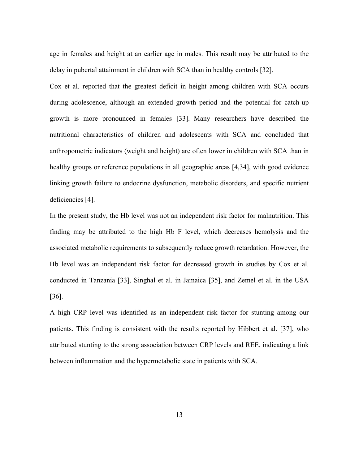age in females and height at an earlier age in males. This result may be attributed to the delay in pubertal attainment in children with SCA than in healthy controls [32].

Cox et al. reported that the greatest deficit in height among children with SCA occurs during adolescence, although an extended growth period and the potential for catch-up growth is more pronounced in females [33]. Many researchers have described the nutritional characteristics of children and adolescents with SCA and concluded that anthropometric indicators (weight and height) are often lower in children with SCA than in healthy groups or reference populations in all geographic areas [4,34], with good evidence linking growth failure to endocrine dysfunction, metabolic disorders, and specific nutrient deficiencies [4].

In the present study, the Hb level was not an independent risk factor for malnutrition. This finding may be attributed to the high Hb F level, which decreases hemolysis and the associated metabolic requirements to subsequently reduce growth retardation. However, the Hb level was an independent risk factor for decreased growth in studies by Cox et al. conducted in Tanzania [33], Singhal et al. in Jamaica [35], and Zemel et al. in the USA [36].

A high CRP level was identified as an independent risk factor for stunting among our patients. This finding is consistent with the results reported by Hibbert et al. [37], who attributed stunting to the strong association between CRP levels and REE, indicating a link between inflammation and the hypermetabolic state in patients with SCA.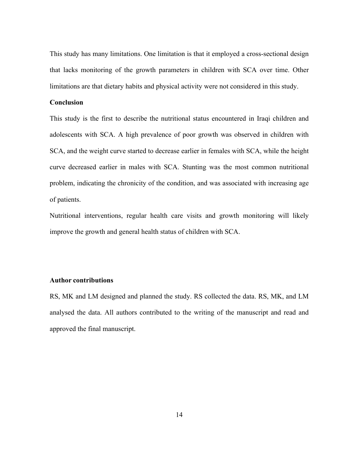This study has many limitations. One limitation is that it employed a cross-sectional design that lacks monitoring of the growth parameters in children with SCA over time. Other limitations are that dietary habits and physical activity were not considered in this study.

#### **Conclusion**

This study is the first to describe the nutritional status encountered in Iraqi children and adolescents with SCA. A high prevalence of poor growth was observed in children with SCA, and the weight curve started to decrease earlier in females with SCA, while the height curve decreased earlier in males with SCA. Stunting was the most common nutritional problem, indicating the chronicity of the condition, and was associated with increasing age of patients.

Nutritional interventions, regular health care visits and growth monitoring will likely improve the growth and general health status of children with SCA.

### **Author contributions**

RS, MK and LM designed and planned the study. RS collected the data. RS, MK, and LM analysed the data. All authors contributed to the writing of the manuscript and read and approved the final manuscript.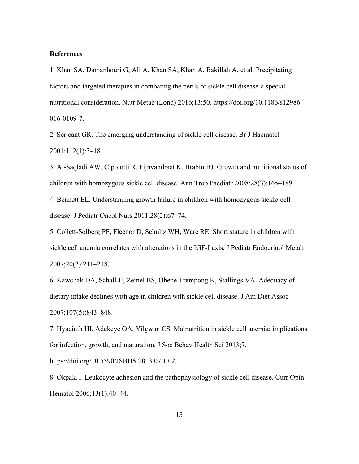#### **References**

1. Khan SA, Damanhouri G, Ali A, Khan SA, Khan A, Bakillah A, et al. Precipitating factors and targeted therapies in combating the perils of sickle cell disease-a special nutritional consideration. Nutr Metab (Lond) 2016;13:50. https://doi.org/10.1186/s12986- 016-0109-7.

2. Serjeant GR. The emerging understanding of sickle cell disease. Br J Haematol 2001;112(1):3–18.

3. Al-Saqladi AW, Cipolotti R, Fijnvandraat K, Brabin BJ. Growth and nutritional status of children with homozygous sickle cell disease. Ann Trop Paediatr 2008;28(3):165–189.

4. Bennett EL. Understanding growth failure in children with homozygous sickle-cell disease. J Pediatr Oncol Nurs 2011;28(2):67–74.

5. Collett-Solberg PF, Fleenor D, Schultz WH, Ware RE. Short stature in children with sickle cell anemia correlates with alterations in the IGF-I axis. J Pediatr Endocrinol Metab 2007;20(2):211–218.

6. Kawchak DA, Schall JI, Zemel BS, Ohene-Frempong K, Stallings VA. Adequacy of dietary intake declines with age in children with sickle cell disease. J Am Diet Assoc 2007;107(5):843–848.

7. Hyacinth HI, Adekeye OA, Yilgwan CS. Malnutrition in sickle cell anemia: implications for infection, growth, and maturation. J Soc Behav Health Sci 2013;7.

https://doi.org/10.5590/JSBHS.2013.07.1.02.

8. Okpala I. Leukocyte adhesion and the pathophysiology of sickle cell disease. Curr Opin Hematol 2006;13(1):40–44.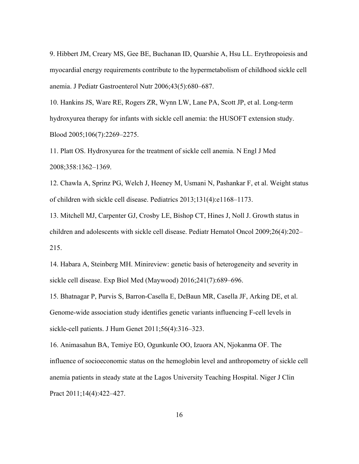9. Hibbert JM, Creary MS, Gee BE, Buchanan ID, Quarshie A, Hsu LL. Erythropoiesis and myocardial energy requirements contribute to the hypermetabolism of childhood sickle cell anemia. J Pediatr Gastroenterol Nutr 2006;43(5):680–687.

10. Hankins JS, Ware RE, Rogers ZR, Wynn LW, Lane PA, Scott JP, et al. Long-term hydroxyurea therapy for infants with sickle cell anemia: the HUSOFT extension study. Blood 2005;106(7):2269–2275.

11. Platt OS. Hydroxyurea for the treatment of sickle cell anemia. N Engl J Med 2008;358:1362–1369.

12. Chawla A, Sprinz PG, Welch J, Heeney M, Usmani N, Pashankar F, et al. Weight status of children with sickle cell disease. Pediatrics 2013;131(4):e1168–1173.

13. Mitchell MJ, Carpenter GJ, Crosby LE, Bishop CT, Hines J, Noll J. Growth status in children and adolescents with sickle cell disease. Pediatr Hematol Oncol 2009;26(4):202– 215.

14. Habara A, Steinberg MH. Minireview: genetic basis of heterogeneity and severity in sickle cell disease. Exp Biol Med (Maywood) 2016;241(7):689–696.

15. Bhatnagar P, Purvis S, Barron-Casella E, DeBaun MR, Casella JF, Arking DE, et al. Genome-wide association study identifies genetic variants influencing F-cell levels in sickle-cell patients. J Hum Genet 2011;56(4):316–323.

16. Animasahun BA, Temiye EO, Ogunkunle OO, Izuora AN, Njokanma OF. The influence of socioeconomic status on the hemoglobin level and anthropometry of sickle cell anemia patients in steady state at the Lagos University Teaching Hospital. Niger J Clin Pract 2011;14(4):422-427.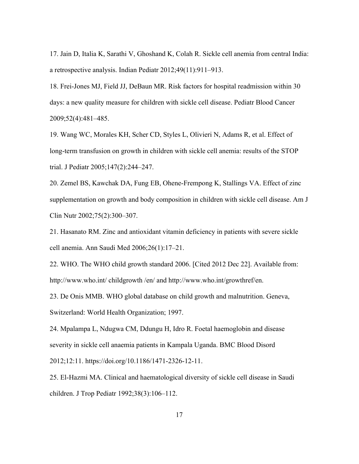17. Jain D, Italia K, Sarathi V, Ghoshand K, Colah R. Sickle cell anemia from central India: a retrospective analysis. Indian Pediatr 2012;49(11):911–913.

18. Frei-Jones MJ, Field JJ, DeBaun MR. Risk factors for hospital readmission within 30 days: a new quality measure for children with sickle cell disease. Pediatr Blood Cancer 2009;52(4):481–485.

19. Wang WC, Morales KH, Scher CD, Styles L, Olivieri N, Adams R, et al. Effect of long-term transfusion on growth in children with sickle cell anemia: results of the STOP trial. J Pediatr 2005;147(2):244–247.

20. Zemel BS, Kawchak DA, Fung EB, Ohene-Frempong K, Stallings VA. Effect of zinc supplementation on growth and body composition in children with sickle cell disease. Am J Clin Nutr 2002;75(2):300–307.

21. Hasanato RM. Zinc and antioxidant vitamin deficiency in patients with severe sickle cell anemia. Ann Saudi Med 2006;26(1):17–21.

22. WHO. The WHO child growth standard 2006. [Cited 2012 Dec 22]. Available from: http://www.who.int/ childgrowth /en/ and http://www.who.int/growthref/en.

23. De Onis MMB. WHO global database on child growth and malnutrition. Geneva, Switzerland: World Health Organization; 1997.

24. Mpalampa L, Ndugwa CM, Ddungu H, Idro R. Foetal haemoglobin and disease severity in sickle cell anaemia patients in Kampala Uganda. BMC Blood Disord 2012;12:11. https://doi.org/10.1186/1471-2326-12-11.

25. El-Hazmi MA. Clinical and haematological diversity of sickle cell disease in Saudi children. J Trop Pediatr 1992;38(3):106–112.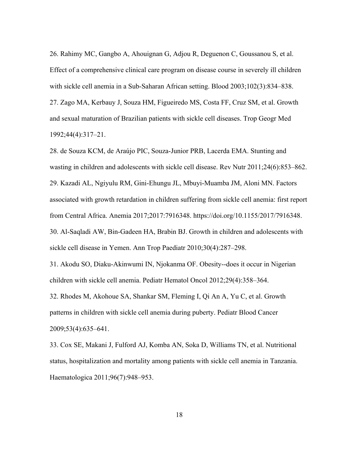26. Rahimy MC, Gangbo A, Ahouignan G, Adjou R, Deguenon C, Goussanou S, et al. Effect of a comprehensive clinical care program on disease course in severely ill children with sickle cell anemia in a Sub-Saharan African setting. Blood 2003;102(3):834–838. 27. Zago MA, Kerbauy J, Souza HM, Figueiredo MS, Costa FF, Cruz SM, et al. Growth and sexual maturation of Brazilian patients with sickle cell diseases. Trop Geogr Med 1992;44(4):317–21.

28. de Souza KCM, de Araújo PIC, Souza-Junior PRB, Lacerda EMA. Stunting and wasting in children and adolescents with sickle cell disease. Rev Nutr 2011;24(6):853–862. 29. Kazadi AL, Ngiyulu RM, Gini-Ehungu JL, Mbuyi-Muamba JM, Aloni MN. Factors associated with growth retardation in children suffering from sickle cell anemia: first report from Central Africa. Anemia 2017;2017:7916348. https://doi.org/10.1155/2017/7916348. 30. Al-Saqladi AW, Bin-Gadeen HA, Brabin BJ. Growth in children and adolescents with sickle cell disease in Yemen. Ann Trop Paediatr 2010;30(4):287–298.

31. Akodu SO, Diaku-Akinwumi IN, Njokanma OF. Obesity--does it occur in Nigerian children with sickle cell anemia. Pediatr Hematol Oncol 2012;29(4):358–364.

32. Rhodes M, Akohoue SA, Shankar SM, Fleming I, Qi An A, Yu C, et al. Growth patterns in children with sickle cell anemia during puberty. Pediatr Blood Cancer 2009;53(4):635–641.

33. Cox SE, Makani J, Fulford AJ, Komba AN, Soka D, Williams TN, et al. Nutritional status, hospitalization and mortality among patients with sickle cell anemia in Tanzania. Haematologica 2011;96(7):948–953.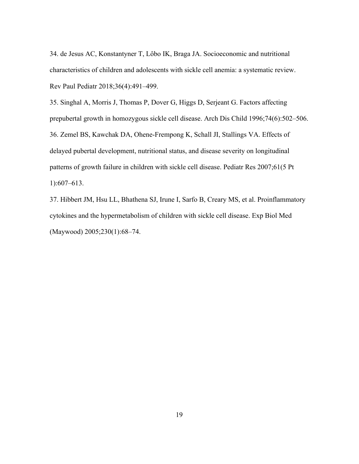34. de Jesus AC, Konstantyner T, Lôbo IK, Braga JA. Socioeconomic and nutritional characteristics of children and adolescents with sickle cell anemia: a systematic review. Rev Paul Pediatr 2018;36(4):491–499.

35. Singhal A, Morris J, Thomas P, Dover G, Higgs D, Serjeant G. Factors affecting prepubertal growth in homozygous sickle cell disease. Arch Dis Child 1996;74(6):502–506. 36. Zemel BS, Kawchak DA, Ohene-Frempong K, Schall JI, Stallings VA. Effects of delayed pubertal development, nutritional status, and disease severity on longitudinal patterns of growth failure in children with sickle cell disease. Pediatr Res 2007;61(5 Pt 1):607–613.

37. Hibbert JM, Hsu LL, Bhathena SJ, Irune I, Sarfo B, Creary MS, et al. Proinflammatory cytokines and the hypermetabolism of children with sickle cell disease. Exp Biol Med (Maywood) 2005;230(1):68–74.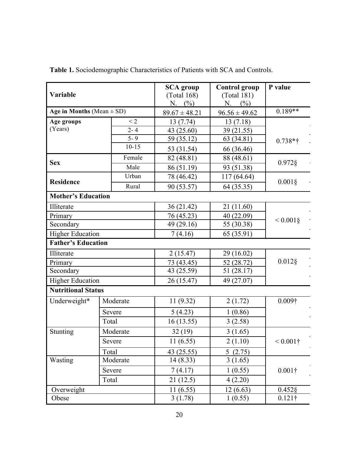| Variable                      |           | <b>SCA</b> group<br>(Total 168)<br>N. $(%)$ | <b>Control group</b><br>(Total 181)<br>N. (%) | P value        |  |  |  |
|-------------------------------|-----------|---------------------------------------------|-----------------------------------------------|----------------|--|--|--|
| Age in Months (Mean $\pm$ SD) |           | $89.67 \pm 48.21$                           | $96.56 \pm 49.62$                             | $0.189**$      |  |  |  |
| Age groups                    | $\leq$ 2  | 13 (7.74)                                   | 13(7.18)                                      |                |  |  |  |
| (Years)                       | $2 - 4$   | 43 (25.60)                                  | 39 (21.55)                                    |                |  |  |  |
|                               | $5 - 9$   | 59 (35.12)                                  | 63 (34.81)                                    | $0.738*$ †     |  |  |  |
|                               | $10 - 15$ | 53 (31.54)                                  | 66 (36.46)                                    |                |  |  |  |
|                               | Female    | 82 (48.81)                                  | 88 (48.61)                                    | $0.972$ §      |  |  |  |
| <b>Sex</b>                    | Male      | 86 (51.19)                                  | 93 (51.38)                                    |                |  |  |  |
|                               | Urban     | 78 (46.42)                                  | 117 (64.64)                                   | $0.001\S$      |  |  |  |
| <b>Residence</b>              | Rural     | 90 (53.57)                                  | 64 (35.35)                                    |                |  |  |  |
| <b>Mother's Education</b>     |           |                                             |                                               |                |  |  |  |
| Illiterate                    |           | 36 (21.42)                                  | 21 (11.60)                                    |                |  |  |  |
| Primary                       |           | 76 (45.23)                                  | 40(22.09)                                     |                |  |  |  |
| Secondary                     |           | 49 (29.16)                                  | 55 (30.38)                                    | $< 0.001$ §    |  |  |  |
| <b>Higher Education</b>       |           | 7(4.16)                                     | 65 (35.91)                                    |                |  |  |  |
| <b>Father's Education</b>     |           |                                             |                                               |                |  |  |  |
| Illiterate                    |           | 2(15.47)                                    | 29 (16.02)                                    |                |  |  |  |
| Primary                       |           | 73 (43.45)                                  | 52 (28.72)                                    | $0.012$ §      |  |  |  |
| Secondary                     |           | 43 (25.59)                                  | 51(28.17)                                     |                |  |  |  |
| <b>Higher Education</b>       |           | 26 (15.47)                                  | 49 (27.07)                                    |                |  |  |  |
| <b>Nutritional Status</b>     |           |                                             |                                               |                |  |  |  |
| Underweight*                  | Moderate  | 11(9.32)                                    | 2(1.72)                                       | $0.009\dagger$ |  |  |  |
|                               | Severe    | 5(4.23)                                     | 1(0.86)                                       |                |  |  |  |
|                               | Total     | 16(13.55)                                   | 3(2.58)                                       |                |  |  |  |
| Stunting                      | Moderate  | 32(19)                                      | 3(1.65)                                       |                |  |  |  |
|                               | Severe    | 11(6.55)                                    | 2(1.10)                                       | $< 0.001$ †    |  |  |  |
|                               | Total     | 43 (25.55)                                  | 5(2.75)                                       |                |  |  |  |
| Wasting<br>Moderate           |           | 14(8.33)                                    | 3(1.65)                                       |                |  |  |  |
|                               | Severe    | 7(4.17)                                     | 1(0.55)                                       | $0.001\dagger$ |  |  |  |
|                               | Total     | 21(12.5)                                    | 4(2.20)                                       |                |  |  |  |
| Overweight                    |           | 11(6.55)                                    | 12(6.63)                                      | $0.452$ §      |  |  |  |
| Obese                         |           | 3(1.78)                                     | 1(0.55)                                       | $0.121\dagger$ |  |  |  |

**Table 1.** Sociodemographic Characteristics of Patients with SCA and Controls.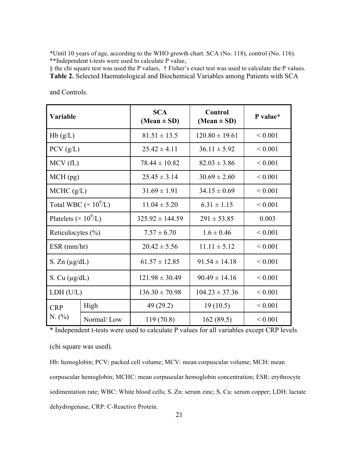\*Until 10 years of age, according to the WHO growth chart. SCA (No. 118), control (No. 116). \*\*Independent t-tests were used to calculate P value,

§ the chi square test was used the P values, † Fisher's exact test was used to calculate the P values. **Table 2.** Selected Haematological and Biochemical Variables among Patients with SCA

| Variable                                 |            | <b>SCA</b><br>$(Mean \pm SD)$ | <b>Control</b><br>$(Mean \pm SD)$ | P value*     |
|------------------------------------------|------------|-------------------------------|-----------------------------------|--------------|
| Hb(g/L)                                  |            | $81.51 \pm 13.5$              | $120.80 \pm 19.61$                | ${}< 0.001$  |
| PCV(g/L)                                 |            | $25.42 \pm 4.11$              | $36.11 \pm 5.92$                  | ${}< 0.001$  |
| MCV(fL)                                  |            | $78.44 \pm 10.82$             | $82.03 \pm 3.86$                  | ${}< 0.001$  |
| $MCH$ (pg)                               |            | $25.45 \pm 3.14$              | $30.69 \pm 2.60$                  | ${}< 0.001$  |
| MCHC (g/L)                               |            | $31.69 \pm 1.91$              | $34.15 \pm 0.69$                  | ${}< 0.001$  |
| Total WBC ( $\times$ 10 <sup>9</sup> /L) |            | $11.04 \pm 5.20$              | $6.31 \pm 1.15$                   | ${}< 0.001$  |
| Platelets ( $\times$ 10 <sup>9</sup> /L) |            | $325.92 \pm 144.59$           | $291 \pm 53.85$                   | 0.003        |
| Reticulocytes $(\% )$                    |            | $7.57 \pm 6.70$               | $1.6 \pm 0.46$                    | ${}< 0.001$  |
| $ESR$ (mm/hr)                            |            | $20.42 \pm 5.56$              | $11.11 \pm 5.12$                  | ${}_{0.001}$ |
| S. Zn $(\mu g/dL)$                       |            | $61.57 \pm 12.85$             | $91.54 \pm 14.18$                 | ${}< 0.001$  |
| S. Cu $(\mu g/dL)$                       |            | $121.98 \pm 30.49$            | $90.49 \pm 14.16$                 | ${}< 0.001$  |
| LDH (U/L)                                |            | $136.30 \pm 70.98$            | $104.23 \pm 37.36$                | ${}< 0.001$  |
| <b>CRP</b>                               | High       | 49 (29.2)                     | 19(10.5)                          | ${}_{0.001}$ |
| N. (%)                                   | Normal/Low | 119(70.8)                     | 162(89.5)                         | ${}< 0.001$  |

and Controls.

\* Independent t-tests were used to calculate P values for all variables except CRP levels (chi square was used).

Hb: hemoglobin; PCV: packed cell volume; MCV: mean corpuscular volume; MCH: mean corpuscular hemoglobin; MCHC: mean corpuscular hemoglobin concentration; ESR: erythrocyte sedimentation rate; WBC: White blood cells; S. Zn: serum zinc; S. Cu: serum copper; LDH: lactate dehydrogenase, CRP: C-Reactive Protein.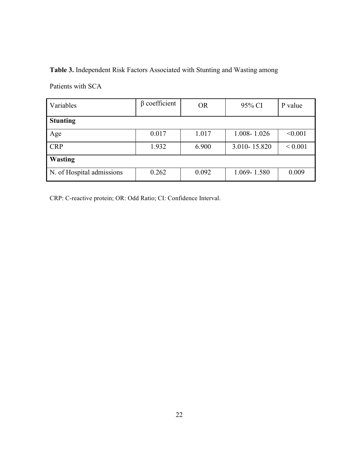# **Table 3.** Independent Risk Factors Associated with Stunting and Wasting among

Patients with SCA

| Variables                 | $\beta$ coefficient | <b>OR</b> | 95% CI       | P value     |  |  |  |
|---------------------------|---------------------|-----------|--------------|-------------|--|--|--|
| <b>Stunting</b>           |                     |           |              |             |  |  |  |
| Age                       | 0.017               | 1.017     | 1.008-1.026  | < 0.001     |  |  |  |
| <b>CRP</b>                | 1.932               | 6.900     | 3.010-15.820 | ${}< 0.001$ |  |  |  |
| <b>Wasting</b>            |                     |           |              |             |  |  |  |
| N. of Hospital admissions | 0.262               | 0.092     | 1.069-1.580  | 0.009       |  |  |  |

CRP: C-reactive protein; OR: Odd Ratio; CI: Confidence Interval.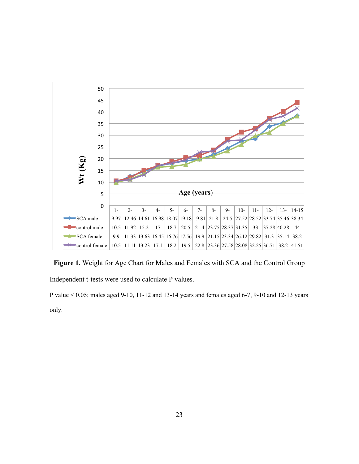

**Figure 1.** Weight for Age Chart for Males and Females with SCA and the Control Group Independent t-tests were used to calculate P values.

P value < 0.05; males aged 9-10, 11-12 and 13-14 years and females aged 6-7, 9-10 and 12-13 years only.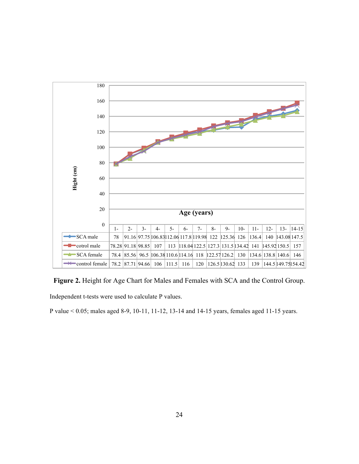

**Figure 2.** Height for Age Chart for Males and Females with SCA and the Control Group. Independent t-tests were used to calculate P values.

P value < 0.05; males aged 8-9, 10-11, 11-12, 13-14 and 14-15 years, females aged 11-15 years.